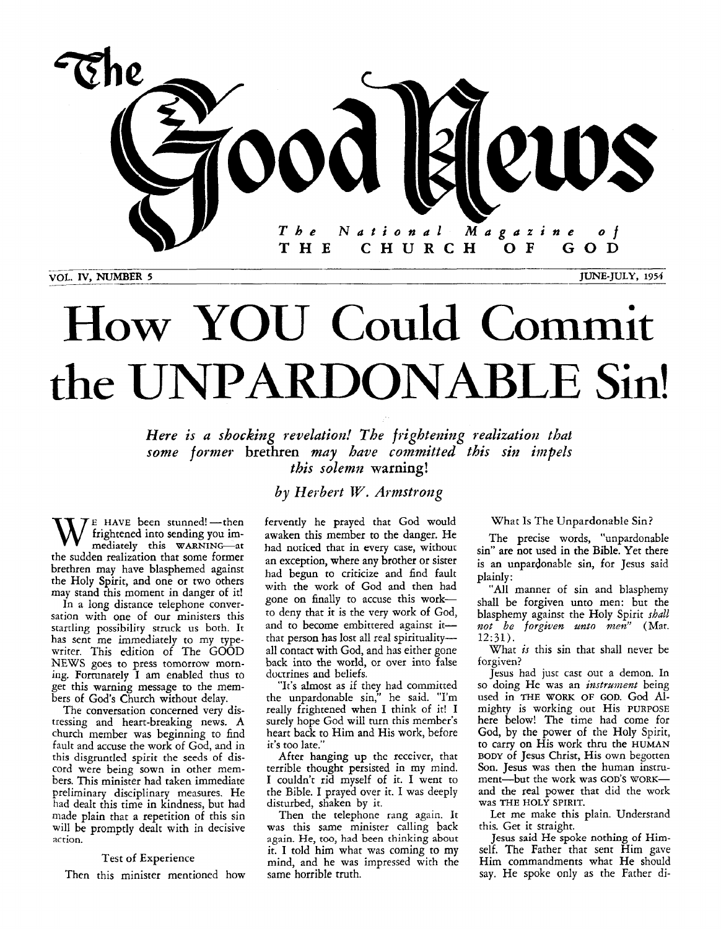

# How YOU Could Commit **the** UNPARDONABLE Sin!

Here is a shocking revelation! The frightening realization that *some former* brethren *may have committed this sin impels this solemn* **warning!** 

*by Herbert W. Armstrong* 

**W** frightened into sending you im-<br>mediately this WARNING-at<br>the sudden polication that some former the sudden realization that some former brethren may have blasphemed against the Holy Spirit, and one or two others may stand this moment in danger of it!

In a long distance telephone conversation with one of our ministers this startling possibility **stnick us** both. It has sent me immediately to my typewriter. This edition of The GOOD NEWS goes to press tomorrow morning. Forrunately I am enabled thus to get this warning message to the members of *God's* Church without delay.

The conversation concerned very distressing and heart-breaking news. A church member was beginning to find fault and accuse the work of God, and in this disgruntled spirit the seeds of discord were being sown in other members. This minister had taken immediate preliminary disciplinary measures. He had dealt this time in kindness, but had made plain that a repetition of this sin will be promptly dealt with in decisive action.

#### Test of Experience

Then this minister mentioned how

fervently he prayed that God would awaken this member to the danger. He had noticed that in every case, without an exception, where any brother or sister had begun to criticize and find fault with the work of God and then had gone on finally to accuse this workto deny that it is the very work of *God,*  and to become embittered against itthat person has lost all real spiritualityall contact with God, and has either gone back into the world, or over into false doctrines and beliefs.

"It's almost as if they had committed the unpardonable sin," he said. "I'm really frightened when I think of it! I surely hope God will **turn** this member's heart back to Him and His work, before it's too late.'

After hanging up the receiver, that terrible thought persisted in my mind. I couldn't rid myself of it. **I** went to the Bible. I prayed over it. I was deeply disturbed, shaken by it.

Then the telephone rang again. It was this same minister calling back again. He, too, had been thinking about it. I told him what was coming to my mind, and he was impressed with the same horrible truth.

What Is The Unpardonable Sin?

The precise words, "unpardonable sin" are not used in the Bible. Yet there is an unpardonable sin, for Jesus said plainly:

"All manner of sin and blasphemy shall be forgiven unto men: but the blasphemy against the Holy Spirit *shall not be forgiven unto men''* (Mat. 12:31).

What *is* this sin that shall never be forgiven?

Jesus had just cast out a demon. In so doing He was an *instrarnent* being used in THE **WORK** OF GOD. *God* Almighty is working out His PURPOSE here below! The time had come for God, by the power of the Holy Spirit, to carry on His work thru the HUMAN **BODY** of Jesus Christ, His own begotten Son. Jesus was then the human instrument-but the work was **GOD'S** WORKand the real power that did the work was THE **HOLY** SPIRIT.

Let me make this plain. Understand this. Get it straight.

**Jesus** said He spoke nothing of Himself. The Father that sent Him gave Him commandments what He should say. He spoke only as the Father di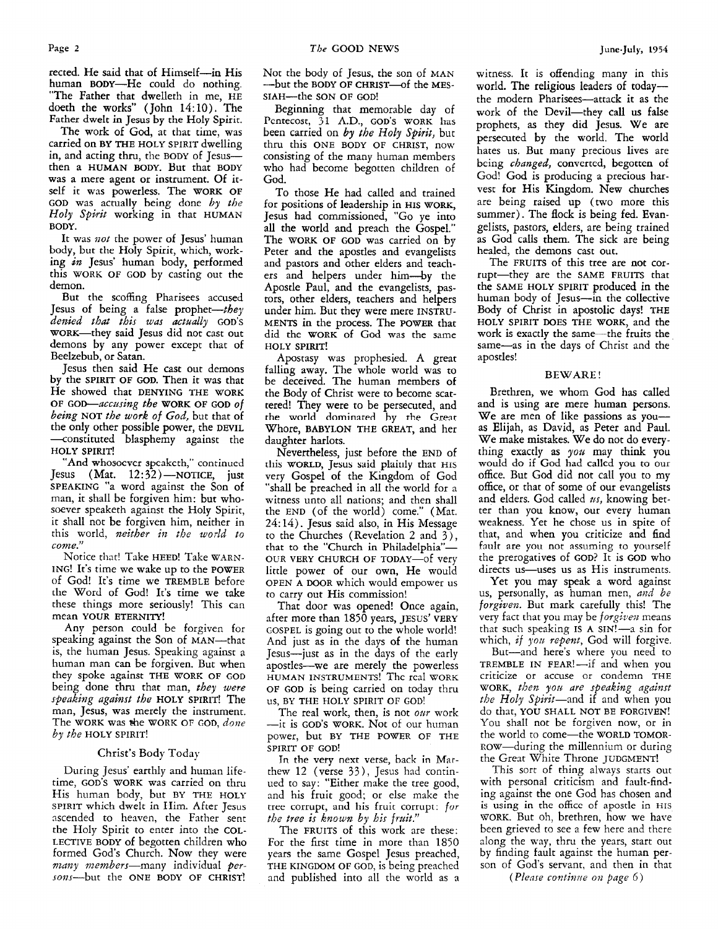rected. He said that of Himself-in His human BODY-He could do nothing. "The Father that dwelleth in me, **HE**  doeth the works" (John *14:lO).* The Father dwelt in Jesus **by** the Holy Spirit.

The work of God, at that time, was carried on **BY THE HOLY SPIRIT** dwelling in, and acting thru, the **BODY** of Jesuswas a mere agent or instrument. Of itself it was powerless. The **WORK OF GOD** was actually being done by the *Holy spirit* working in that **HUMAN BODY.**  then a **HUMAN BODY.** But that **BODY** 

It was *not* the power of Jesus' human body, **but** the Holy Spirit, which, working *in* Jesus' human body, performed this **WORK OF GOD** by casting out the demon.

But the scoffing Pharisees accused Jesus of being a false prophet-they *denied that this was actually* **GOD'S**  WORK-they said Jesus did not cast out demons by any power except that of Beelzebub, or Satan.

Jesus then said He cast out demons by the **SPIRIT OF GOD.** Then it was that He showed that **DENYING THE WORK**  *being* **NOT** *the work of God,* but that of the only other possible power, the DEVIL -constituted blasphemy against the **HOLY SPIRIT! OF GOD-acczuing** the **WORK OF** GOD *Of* 

**"And** whosocvcr spcakcth," continued Jesus (Mat. 12:32)-NOTICE, just **SPEAKING** "a word against the Son of man, it shall be forgiven him: but whosoever speaketh against the Holy Spirit, it shall not be forgiven him, neither in this world, *neither in the wodd to come."* 

Notice that! Take **HEED!** Take **WARN-ING!** It's time we wake up to the **POWER**  of God! It's time we **TREMBLE** before the Word of God! It's time we take these things more seriously! This can mean **YOUR ETERNITY!** 

**Any** person could be forgiven for speaking against the Son of MAN-that is, the human Jesus. Speaking against a human man can be forgiven. But when they spoke against **THE WORK OF GOD**  being done thru that man, *they were speaking* against *the* **HOLY SPIRIT!** The man, Jesus, was merely the instrument. The **WOXK** was €he **WORK** OF **GOD,** *done by the* **HOLY SPIRIT!** 

#### Christ's Body Today

During Jesus' earthly and human lifetime, **GOD'S WORK** was carried on thru His human body, but **BY THE HOLY SPIRIT** which dwelt **in** IIim. After Jesus ascended to heaven, the Father sent the Holy Spirit to enter into the **COL-LECTIVE BODY** of begotten children who formed God's Church. Now they were *nzany* members-many individual *per*sons-but the **ONE BODY** OF CHRIST!

Not the body of Jesus, the son of **MAN**  -but the **BODY OF CHRIST-of** the **MES-**SIAH-the SON OF GOD!

Beginning that memorable day of Pcntecost, 31 AD., **GOD'S WORK** has been carried on *by the Holy Spirit,* but thru this **ONE BODY** OF **CHRIST,** now consisting of the many human members who had become begotten children of God.

TO those He had called and trained for positions of leadership in **HIS** WORK, Jesus had commissioned, "Go ye into all the world and preach the Gospel." The **WORK OF GOD** was carried on by Peter and the apostles and evangelists and pastors and other elders and teachers and helpers under him--by the Apostle Paul, and the evangelists, pastors, other elders, teachers and helpers under him. But they were mere **INSTRU-MENTS** in the process. The **POWER** that did the **WORK** of God was the same **HOLY SPIRIT!** 

Apostasy was prophesied. A great falling away. The whole world was to be deceived. The human members of the Body of Christ were to become scattered! They were to be persecuted, and the world dominated by the Great Whore, BABYLON **THE GREAT,** and her daughter harlots.

Nevertheless, just before the **END** of rlik **WORLD, Jrsus** said plaiiily *that* **HIS**  very Gospel of the Kingdom of God "shall be preached in all the world for a witness unto all nations; and then shall the **END** (of the world) come." (Mat. *24:14).* Jesus said also, in His Message to the Churches (Revelation **2** and *3),*  that to the "Church in Philadelphia"-**OUR VERY CHURCH OF TODAY-of** very little power of our own, He would **OPEN A DOOR** which would empower us to carry out His commission!

That door was opened! Once again, after more than 1850 years, **JESUS' VERY COSPEL** is going out to the whole world! And just as in the days of the human Jesus-just as in the days of the early apostles-we are merely the powerless **HUMAN INSTRUMENTS!** Thc rcal **WORK OF GOD** is being carried on today thru us, **BY THE HOLY SPIRIT OF GOD!** 

The real work, then, is not *oar* work -it is **GOD'S WORK.** Not of our human power, but **BY THE POWER OF THE SPIRIT OF GOD!** 

Jn the very next verse, **back in** Marthew 12 (verse *33),* Jesus had continued to say: "Either make the tree good, and his fruit good; or else make the tree corrupt, and his fruit corrupt: for *the tree is known* by *his frzit."* 

The **FRUITS** of this work are these: For the first time in more than 1850 years the same Gospel Jesus preached, **THE KINGDOM OF GOD,** is being preached and published into all the world as a witness. It is offending many in this world. The religious leaders of today the modern Pharisees-attack it as the work of the Devil-they call **us** false prophets, as they did Jesus. We are persecuted by the world. The world hates us. But many precious lives are bcing *changed,* converted, begotten of God! God is producing a precious harvest for His Kingdom. New churches are being raised up (two more this summer). The flock is being fed. Evangelists, pastors, elders, are being trained as God calls them. The sick are being healed, the demons cast out.

The **FRUITS** of this tree are not corrupt-they are the **SAME FRUITS** that the **SAME HOLY SPIRIT** produced in the human body of Jesus--in the collective Body of Christ in apostolic days! **THE HOLY SPIRIT DOES THE WORK,** and the work is exactly the same-the fruits the same-as in the days of Christ and the apostles!

#### **BEWARE** !

Brethren, we whom God has called and is using are mere human **persons.**  We are men of like passions **as** youas Elijah, as David, as Peter and Paul. We make mistakes. We do not do everything exactly as you may think you would do if God had callcd you to our ofice. But God did not call you to my office, or that of some of our evangelists and elders. God called *us,* knowing better than you know, our every human weakness. Yet he chose us in spite of that, and when you criticize and find fault ate you **not assuming to** yourself the prerogatives of **GOD?** It is **GOD** who directs us—uses us as His instruments.

Yet you may speak **a** word against **LIS,** personally, as human men, *arid* be *forgiven.* But mark carefully this! The very fact that you may be *forgivez* means that such speaking **IS** A SIN!-a sin for which, *if you repent*, God will forgive.

But-and here's where you need to **TREMBLE IN FEAR!-if** and when you criticize or accuse or condemn **THE WORK,** *then yon are speaking against*  the *Holy* Spirit-and if and when you do that, **YOU SHALL NOT BE FORGIVEN!**  You shall not be forgiven now, or in the world to come-the **WORLD TOMOR-**ROW—during the millennium or during the Grest White Throne **JUDGMENT!** 

This sort of thing always starts out with personal criticism and fault-finding against the one God has chosen and is using in the office of apostle in HIS **WORK.** But oh, brethren, how we have been grieved to see a few here and there along the way, thru the years, start out by finding fault against the human person of God's servant, and then in that

*(Please continue on page 6)*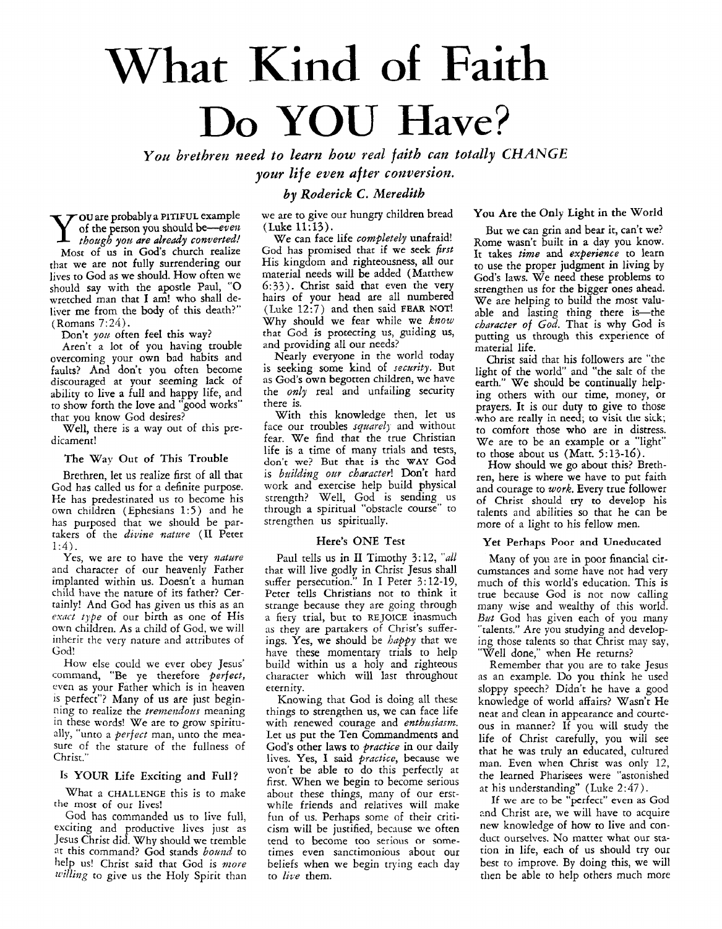## What Kind **of Faith**  Do **YOU Have?**

You brethren need to learn how real faith can totally CHANGE *vour life even after conversion.* 

#### *by Roderick C. Meredith*

**ou** are probably a **PITIFUL** example Y of the person you should *be-even though you are already converted! Most* of US in *God's* church realize that we are not fully surrendering our lives to God as we should. HOW often we should say with the apostle Paul, *"0*  wretched man that **I** am! who shall deliver me from the body of this death?" (Romans 7: *24).* 

Don't **you** often feel this way?

Aren't a lot of you having trouble overcoming your own bad habits and faults? And don't you often become discouraged at your seeming lack of ability to live a full and happy life, and to show forth the love and "good works'' that you know God desires?

Well, there is a way out of this predicament!

#### The Way Out **of** This Trouble

Brethren, let us realize first of all that God has called us for a definite purpose. He has predestinated us to become his own children (Ephesians 1:5) and he has purposed that we should be partakers of the *divine nature* (II Peter *1:4).* 

Yes, we are to have the very *nature* and character of our heavenly Father implanted within us. Doesn't a human child **have** rhe narure of its father? Certainly! And God has given us this as an *exnrt tjpe* of our birth as one of His own children. **As** a child of God, we will inherit the very nature and attributes of God!

How else could we ever obey Jesus' command, "Be ye therefore *pevfecf,*  even as your Father which is in heaven 1s perfect"? Many of **us** are just beginning to realize the *tremendous* meaning **in** these words! We are to grow spiritually, "unto a *perfect* man, unto the measure of the stature of the fullness of Christ."

#### **IS YOUR** Life Exciting and Full?

What a **CHALLENGE** this is to make the most of our **lives!** 

God has commanded us to live full, exciting and productive lives just as Jesus Christ did. Why should we tremble at this command? God stands *bomd* to help us! Christ said that God is *more willing* to give us the Holy Spirit than

#### we are to give our hungry children bread (Luke 11:13).

We can face life *completely* unafraid! God has promised that if we seek *first*  His kingdom and righteousness, all our material needs will be added (Matthew **6:33).** Christ said that even the very hairs of your head are all numbered (Luke 12:7) and then said **FEAR NOT!**  Why should we fear while we *know*  that God is protecting us, guiding us, and providing all our needs?

Nearly everyone in the world today is seeking some kind of *security*. But as God's own begotten children, we have the *only* real and unfailing security there is.

With this knowledge then. let us face our troubles *squarely* and without fear. We find that the true Christian life is a time of many trials and tests, don't **we?** But that is thc **WAY** Cod is *building our character!* Don't hard work and exercise help build physical strength? Well, God is sending us through a spiritual "obstacle course" to strengthen us spiritually.

#### Here's ONE Test

Paul tells us in II Timothy 3:12, "all that will live godly in Christ Jesus shall suffer persecution." In I Peter *3:* 12-19, Peter tells Christians not to think it strange because they are going through a fiery trial, but to REJOICE inasmuch as they are partakers of Christ's sufferings. Yes, we should be *happy* that we have these momentary trials to help build within us a holy and righteous character which will last throughout eternity.

Knowing that God is doing all these things to strengthen us, we can face life with renewed courage and *enthusiasm*. Let us put the Ten Commandments and God's other laws to *practice* in our daily lives. Yes, I said *practice*, because we won't be able to do this perfectly at first. When we begin to become serious about these things, many of our erstwhile friends and relatives will make fun of us. Perhaps some of their criticism will be justified, because we often tend to become too serious **or** sometimes even sanctimonious about our beliefs when we begin trying each day to *lire* them.

**You** Are the Only Light in the World

But we can grin and bear it, can't we? Rome wasn't built in a day you know. It takes *time* and *experience* to learn to use the proper judgment in living by God's laws. We need these problems to strengthen us for the bigger ones ahead. We are helping to build the most valuable and lasting thing there is-the *character* of *God.* That is why God is putting **us** through this experience of material life.

Christ said that his followers are "the light of the world' and "the salt of the earth." We should be continually helping others with our time, money, or prayers. It is our duty to give to those .who are really in need; to **visii tlir sick;**  to comfort those who are in distress. We are to be an example or a "light" to those about us (Matt. 5:13-16).

How should we go about this? Brethren, here is where we have to put faith and courage to *work.* Every true follower of Christ should try to develop his talents and abilities so that he can be more of a light to his fellow men.

#### Yet **Perhaps** Poor **and** Uneducated

Many of you are in poor financial circumstances and some have not had very much of this world's education. This is true because God is not now calling many wise and wealthy of this world. But God has given each of you many "talents." Are you studying and developing those talents so that Christ may say, "Well done," when He returns?

Remember that you are to take Jesus as an example. Do you think he used sloppy speech? Didn't he have a good knowledge of world affairs? Wasn't He neat and clean in appearance and courteous in manner? If you will study the life of Christ carefully, you will see that he was truly an educated, cultured man. Even when Christ was only 12, the learned Pharisees were "astonished at his understanding" (Luke 2 *:47).* 

If **we** are to be "perfect" **even as** God .nd Christ are, we will have to acquire new knowledge of how to live and conduct ourselves. No matter what our station in life, each of us should try our best to improve. By doing this, we will then be able to help others much more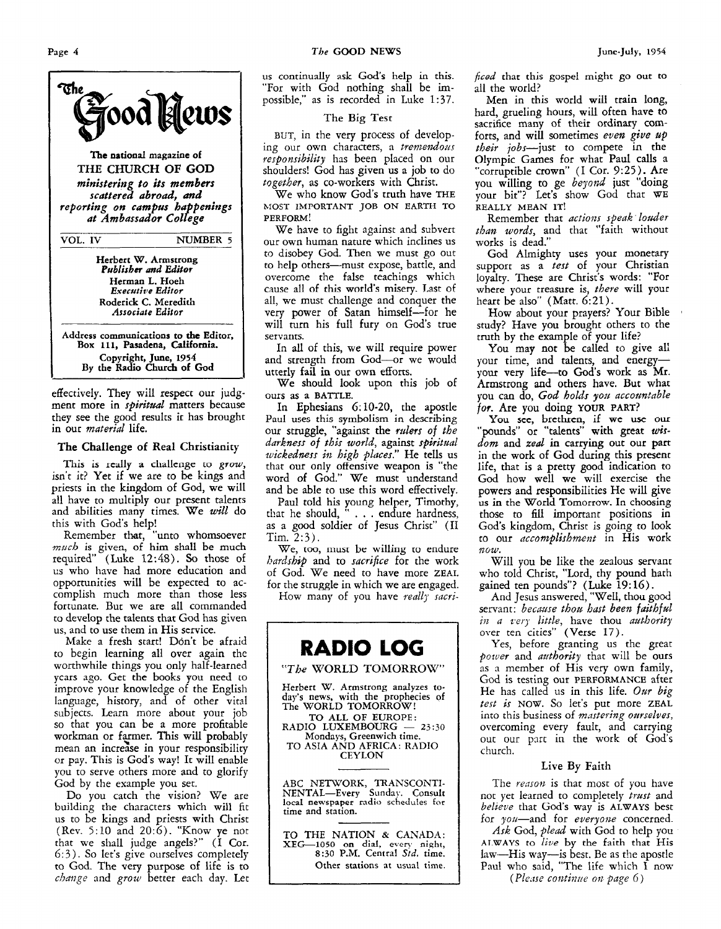

effectively. They will respect our judgment more in *spiritual* matters because they *see* the good results it has brought in our *material* life.

#### The Challenge **of** Real Christianity

This is really a challenge to grow, isn't it? Yet if we are to be kings and priests in the kingdom of God, we will all have to multiply our present talents and abilities many times. We *will* do this with God's help!

Remember that, "unto whomsoever *much* is given, of him shall be much required' (Luke 12:48). *So* those of **us** who have had more education and opportunities will be expected to accomplish much more than those less fortunate. But we are all commanded to develop the talents that God has given us, and to use them in His service.

Make a fresh start! Don't be afraid to begin learning all over again the worthwhile things you only half-learned ycars ago. Get the books you need co improve your knowledge of the English language, history, and of other vital subjects. Learn more about your job so that you can be a more profitable workman or farmer. This will probably mean an increase in your responsibility or pay. This is God's way! It will enable you to serve others more and to glorify God by the example you set.

Do you catch the vision? We are building the characters which will fit us to be kings and priests with Christ (Rev. **5:lO** and 20:6). "Know ye not that we shall judge angels?" (I Cor. 6: *3* ) . So let's give ourselves completely to God. The very purpose of life is to *chaiige* and *grow* better each day. Let

**11s** continually **ask** Gods help in **this.**  "For with God nothing shall be impossible," as is recorded in Luke 1:37.

#### The **Big** Test

BUT, in the very process of developing our own characters, a tremendous *res9onsibility* has been placed on our shoulders! God has given us a job to do *together,* as co-workers with Christ.

We who know God's truth have **THE PERFORM! MOST IMPORTANT JOB ON EARTH TO** 

We have to fight against and subvert our own human nature which inclines us to disobey God. Then we must go out to help others-must expose, battle, and<br>overcome the false teachings which cause all of this world's misery. Last of all, we must challenge and conquer the very power of Satan himself--for he will turn his full fury on God's true servants.

In all of this, we will require power and strength from God-or we would utterly fail in our own efforts.

We should look upon this job of ours as a **BATTLE.** 

In Ephesians 6: 10-20, the apostle **Paul uses** this symbolism in describing our struggle, "against the *riders of the darkness of this world, against spiritual wickedness in high places.*" He tells us that our only offensive weapon is "the word of God." We must understand and be able to use this word effectively.

Paul told his young helper, Timothy, that he should, " . . . endure hardness, as a good soldier of Jesus Christ" (I1  $Tim. 2:3$ .

**We, too, must** bc willing tu endure *hardship* and to *sacrifice* for the work of God. We need to have more **ZEAL**  for the struggle in which we are engaged.

How many of you have *really sacri-*

**RADIO LOG**  *"The* WORLD TOMORROW" Herbert **W.** Armstrong analyzes **to**day's news, with the prophecies **of**  The **WORLD TOMORROW! TO ALL OF EUROPE: Mondays,** Greenwich time. TO ASIA AND AFRICA: **RADIO**  CEYLON The WORLD TOMORROW!<br>
TO ALL OF EUROPE:<br>
RADIO LUXEMBOURG – 23:30<br>
Mondays Greenwich time

**ABC** NETWORK, TRANSCONTI-NENTAL-Every **Sunday.** Consult local **newspaper radio schedules** for time and station.

TO THE NATION & **CAYADA: XEG-1050 on dial, even night, 8:30 PM.** Central *Std.* time. Other stations at usual time.

*ficd* that this gospel might *60* out **to**  all the world?

Men in this world will train long, hard, grueling hours, will often have to sacrifice many of their ordinary comforts, and will sometimes *even give up their* jobs-just to compete in the Olympic Games for what Paul calls a "corruptible crown" (I Cor. 9:25). Are you willing to ge *beyond* just "doing your bit"? Let's show God that **WE REALLY** MEAN **IT!** 

Remember that *actioizs speak louder than words,* and that "faith without works is dead."

God Almighty uses your monetary support as a *test* of your Christian loyalty. These are Christ's words: "For where your treasure is, *there* will your heart be also" (Matt. 6:21).

How about your prayers? Your Bible study? Have you brought others to the truth by the example of your life?

*You* may not be called to give all your time, and talents, and energyyour very life-to Gods **work** as Mr. Armstrong and athers have. But what you can do, *God hokh* **yoz~** *accozmtable for.* Are you doing **YOUR PART?** 

**You** *SCC,* brcthrcn, if **wc** usc **OUT**  "pounds" or "talents" with great *Wisdom* and *zed* in carrying out our part in the work of *God* during this present life, that is a pretty good indication to *God* how well we will exercise the powers and responsibilities He will give **us** in the World Tomorrow. **In** choosing those to fill important positions in God's kingdom, Christ is going *to* look *to* our *clcconzplishment* in His work *%OW.* 

Will you be like the zealous servant who told Christ, "Lord, thy pound hath gained ten pounds"? (Luke 19:16).

And Jesus answered, "Well, thou god servant: *becctllse tho# hast been faithfd in a ceq little,* have thou *authority*  over ten cities" (Verse 17).

Yes, before granting us the great *power* and *aztthority* that will be ours as a member of His very own family, God is testing our **PERFORMANCE** after He has called us in this life. *Ow big test is* **NOW.** so let's put more **ZEAL**  into this business of *mastering ourselves*, overcoming every fault, and carrying out our part in the work of God's church.

#### Live **By** Faith

The *reason* is that most of you have not yet learned to completely *twst* and *belzeve* that Gods way is **ALWAYS** best for you-and for *everyone* concerned.

*Ask* God, *plead* with God to help you **AiWAYS** *to live* by the *faith* **that** His law—His way—is best. Be as the apostle Paul who said, "The life which **I** now

*(Plr.rse coiztincte 012 pnge 6)*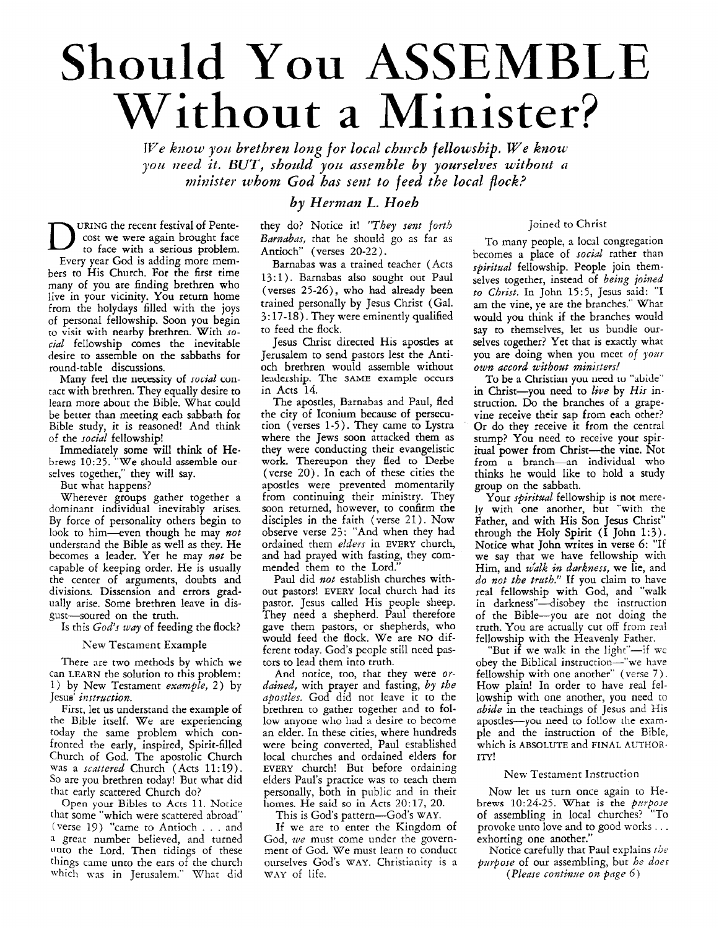## Should You **ASSEMBLE**  Without **a** Minister?

*We know you brethren long for local church fellowship. We know you izeed it. BUT, sboccld yon assemble by yoursehes withorit a minister whom God has seizt to feed the local flock?* 

URING the recent festival of Pentecost we were again brought face to face with a serious problem. Every year God is adding more members to His Church. For the first time many of you are finding brethren who live in your vicinity. You return home from the holydays filled with the joys of personal fellowship. Soon you begin to visit with nearby brethren. With **10**  *cid* fellowshib comes the inevitable *<sup>I</sup>* desire *to* assemble on the sabbaths for round-table discussions.

Many feel the necessity of *social* contact with brethren. They equally desire to learn more about the Bible. What could be better than meeting each sabbath for Bible study, it is reasoned! And think of the *social* fellowship!

Immediately some will think of He**brews** 10:75. **"We** should assemble our selves together," they will say.

But what happens?

Wherever groups gather together a dominant individual inevitably arises. By force of personality others begin to look to him-even though he may *not*  understand the Bible as well as they. He becomes a leader. Yet he may *not* be capable of keeping order. He is usually the center of arguments, doubts and divisions. Dissension and errors gradually arise. Some brethren leave in disgust-soured on the truth.

Is this *God's way* of feeding the **flock?** 

#### New Testament Example

There are two methods by which we can **LFARN** the solution to **this** problem: 1) by New Testament *example,* **2)** by Jesus' *instruction.* 

First, let us understand the example of the Bible itself. **We** are experiencing today the same problem which confronted the early, inspired, Spirit-filled Church of God. The apostolic Church was a *scattered* Church (Acts 11:19). *SO* are you brethren today! But what did that early scattered Church do?

Open your Bibles to Acts 11. Notice that some "which were scattered abroad" (verse 19) "came to Antioch . . . and *3* great number believed, and turned unto the Lord. Then tidings of these things came unto the ears of the church which was in Jerusalem." What did

#### *by Herman L. Hoeh*

they do? Notice it! "They sent forth *Barnabas*, that he should go as far as Antioch" (verses 20-22).

Barnabas was a trained teacher (Acts 13:l). Barnabas also sought out Paul (verses **25-26),** who had already been trained personally by Jesus Christ (Gal. *3:* 17-18). They were eminently qualified to feed the flock.

Jesus Christ directed His apostles at Jerusalem to send pastors lest the Antioch brethren would assemble without leadciship. The **SAME** example occurs in **Acts** 14.

The apostles, Barnabas and Paul, fled the city of Iconium because of **persecu**tion (verses 1-5). They came to Lystra where the Jews soon attacked them as they were conducting their evangelistic work. Thereupon they **fled** to Derbe (verse 20). In each of these cities the apostles were prevented momentarily from continuing their ministry. They soon returned, however, to confirm the disciples in the faith (verse 21). Now observe verse 23: "And when they had ordained them *elders* in **EVERY** church, and had prayed with fasting, they commended them to the Lord."

Paul did *not* establish churches without pastors! **EVERY** local church had its pastor. Jesus called His people sheep. They need a shepherd. Paul therefore gave them pastors, or shepherds, who would feed the flock. We are **NO** different today. God's people still need pastors to lead them into truth.

**And** notice, tno, that they were *orcldined,* with prayer and fasting, *by the apostles. God* did not leave it to the brethren to gather together and to follow anyone who had a desire to become an elder. In these cities, where hundreds were being converted, Paul established local churches and ordained elders for **EVERY** church! But before ordaining elders Paul's practice was to teach them personally, both in public and in their homes. He said so in Acts 20:17, *20.* 

This is God's pattern-God's **WAY.** 

If we are to enter the Kingdom of God, we must come under the government of God. We must learn to conduct ourselves God's **WAY.** Christianity is a **WAY** of life.

#### Joined to Christ

To many people, a local congregation becomes a place of *social* rather than *spiritual* fellowship. People join themselves together, instead of *being joined to Christ.* In John **15:5,** Jesus said: "I am the vine, ye are the branches." What would you think if the branches would say to themselves, let us bundle ourselves together? Yet that is exactly what you are doing when you meet of your *own accord without ministers!* 

To be a Christian you need to "abide" in Christ-you need to *live* by *His* instruction. Do the branches of a grapevine receive their sap from each other? Or do they receive it from the central stump? You need to receive your spiritual power from Christ-the vine. Not from **a** branch-an individual who thinks he would like to hold a study group on the sabbath.

Your *spiritual* fellowship is not merely with one another, but "with the Father, and with His **Son** Jesus Christ" through the Holy Spirit (I John **1:3).**  Notice what John writes in verse 6: "If we say that we have fellowship with Him, and *walk in darkness*, we lie, and *do not the twth."* If you claim to have real fellowship with God, and "walk in darkness"—disobey the instruction of the Bible-you are not doing the truth. You are actually cut off from real fellowship with the Heavenly Father.

"But if we walk in the light"-if **we**  obey the Biblical instruction-"we have fellowship with one another" (verse 7). How plain! In order to have real fellowship with one another, you need to *nbide* in the teachings of Jesus and His apostles-you need to follow the example and the instruction of the Bible, which is **ABSOLUTE** and **FINAL AUTHOR-**ITY!

#### New Testament Instruction

Now let us turn once again to Hebrews 10:24-25. What is the *pnrpose*  of assembling in local churches? "To provoke unto love and to good works . . . exhorting one another."

Notice carefully that Paul explains *the piirpose* of our assembling, but *he does* 

*(Please contime on pdge 6)*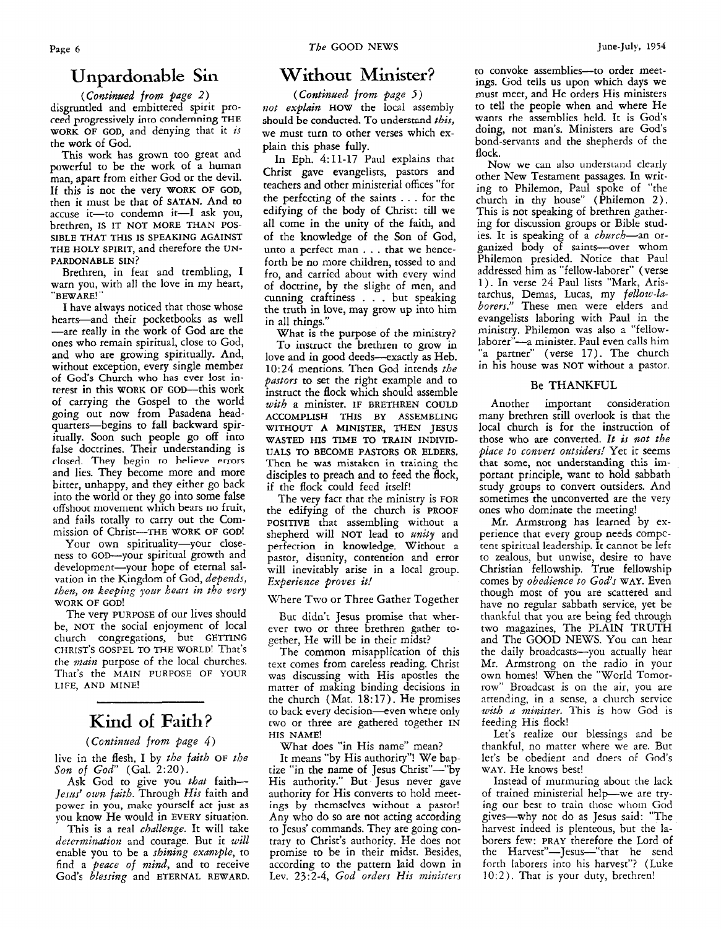### **Unpardonable Sin**

*(Continued ffom page 2)*  disgruntled and embittered spirit proreed prngressively into cnndemning **THE WORK OF GOD,** and denying that it *is*  the work of God.

This work has grown too great and powerful to be the work of a human man, apart from either God or the devil. **If** this is not the very **WORK OF GOD,**  then it must be that of **SATAN.** And to accuse it-to condemn it-I ask you, brethren, IS **IT NOT MORE THAN POS-SIBLE THAT THIS IS SPEAKING AGAINST THE HOLY SPIRIT,** and therefore the **UN-PARDONABLE SIN?** 

Brethren, in fear and trembling, **I**  warn you, with all the love in my heart, **"BEWARE!** \*'

**I** have always noticed that those whose hearts-and their pocketbooks **as** well -are really in the work of God are the ones who remain spiritual, close to God, and who are growing spiritually. And, without exception, every single member of **God's** Church who has ever lost **in**terest in this **WORK OF** GOD-this work of carrying the Gospel to the world going out now from Pasadena headquarters-begins to **fall** backward spiritually. Soon such people go off into false doctrines. Their understanding is closed. They begin to believe errors and lies. They become more and more bitter, unhappy, and they either go back into the world or they go into some false offshoot niovenient which **bears IIO** fruit, and fails totally to carry out the Commission of Christ-THE **WORK OF GOD!** 

Your own spirituality-your closeness to GOD--your spiritual growth and development-your hope of eternal salvation in the Kingdom of God, *depends, then, oa keeping yoz~r heart in the very*  **WORK OF GOD!** 

The very **PURPOSE** of our lives should be, **NOT** the social enjoyment of local church congregations, but **GETTING CHRIST'S GOSPEL TO THE WORLD!** That's the *main* purpose of the local churches. That's the **MAIN PURPOSE OF YOUR**  LIFE, AND MINE!

### Kind **of Faith?**

#### *(Contiwed from page 4)*

live in the flesh, **I** by *the faith* **OF** *the Son* of *God'* (Gal. 2:20).

Ask God to give you *that* faith-*Jesus' own faith.* Through *His* faith and power in you, make yourself act just **as**  you know He would in **EVERY** situation.

This is a real *challenge.* It will take *determinution* and courage. But it *will*  enable you to be a *shining example,* to find a *peace of mind*, and to receive God's *blessing* and **ETERNAL REWARD.** 

### **Without Minister?**

*(Contiwed from page* **S)**  not explain **HOW** the local assembly should be conducted. To understand *this,*  we must turn to other verses which explain this phase fully.

In Eph. 4:11-17 Paul explains that Christ gave evangelists, pastors and teachers and other ministerial offices "for the perfecting of the saints . . . for the edifying of the body of Christ: till we ail come in the unity of the faith, and of the knowledge of the **Son** of God, unto a perfect man . . . that we henceforth be no more children, tossed to and fro, and carried about with every wind of doctrine, by the slight of men, and cunning craftiness . . . but speaking the truth in love, may grow up into him in all things."

What **is** the purpose of the ministry? To instruct the brethren to grow in love and in good deeds--exactly as Heb. 10:24 mentions. Then God intends *the pastors* to set the right example and to instruct the flock which should assemble *with* a minister. **IF BRETHREN COULD ACCOMPLISH THIS BY ASSEMBLING WITHOUT A MINISTER, THEN JESUS UALS TO BECOME PASTORS OR ELDERS.**  Thcn he was mistaken in training the disciples to preach and to feed the flock, if the flock could feed itself! **WASTED HIS TIME TO TRAIN INDIVID-**

The very fact that the ministry is **FOR**  the edifying of the church is **PROOF POSITIVE** that assembling without a shepherd will **NOT** lead to *anity* and perfection in knowledge. Without a pastor, disunity, contention and error will inevitably arise in a local group. *Experience proves it!* 

Where Two or Three Gather Together

But didn't Jesus promise that wherever two or three brethren gather together, He will be in their midst?

The common misapplication of this text comes from careless reading. Christ **was** discussing with His apostles the matter of making binding decisions in the church (Mat. 18:17). He promises to back every decision-even where only two or three are gathered together **IN**  HIS **NAME!** 

What does "in His name" mean?

It means "by His authority"! We baptize "in the name of Jesus Christ"-"by His authority." But Jesus never gave authority for His converts to hold meetings by themselves without a pastor! Any who do so are not acting according to Jesus' commands. They are going contrary to Christ's authority. He does not promise to be in their midst. Besides, according to the pattern laid down in Lev. *23:2-4, God orders His ministers*  to convoke assemblies--- to order meetings. God tells us upon which days we must meet, and He orders His ministers to tell the people when and where He wants the assemblies held. It is God's doing, not man's. Ministers are God's bond-servants and the shepherds of the flock.

Now **we** can also understand clearly other New Testament passages. In writing to Philemon, Paul spoke of "the This is not speaking of brethren gathering for discussion groups or Bible studies. It is speaking of a *charch-an* organized body of saints--over whom Philemon presided. Notice that Paul addressed him as "fellow-laborer" (verse 1). In verse 24 Paul lists "Mark, Aristarchus, Demas, Lucas, my *fellow-hborers."* These men were elders and evangelists laboring with Paul in the ministry. Philemon was also a "fellowlaborer"-a minister. Paul even calls him "a partner" (verse 17). The church in his house was **NOT** without a pastor.

#### **Be THANKFUL**

Another important consideration many brethren still overlook is that the local church is for the instruction of those who are converted. It is not the *place to convert outsiders!* Yet it seems that some, not understanding this important principle, want to hold sabbath study groups to convert outsiders. And sometimes the unconverted are the very ones who dominate the meeting!

Mr. Armstrong has learned by experience that every group needs compe**tent** spiritual leadership. **It** cannot **be** left to zealous, but unwise, desire to have Christian fellowship. True fellowship comes by *obedience to God's* **WAY.** Even though most of you are scattered and have no regular sabbath service, yet be thankful that you are being fed through two magazines, The PLAIN TRUTH and The GOOD NEWS. You can hear the daily broadcasts-you actually hear Mr. Armstrong on the radio in your own homes! When the "World Tomorrow" Broadcast is on the air, you are attending, in a sense, a church service *with a minister.* This is how God is feeding His **flock!** 

Let's realize our blessings and be thankful, no matter where we are. But let's be obedient and doers of God's **WAY.** He knows best!

Instead of murmuring about the lack of trained ministerial help-we are trying our best to train those whom God gives-why not do as Jesus said: "The harvest indeed is plenteous, but the laborers few: **PRAY** therefore the Lord of the Harvest"-Jesus-"that he send forth laborers into his harvest"? (Luke 10:2). That is your duty, brethren!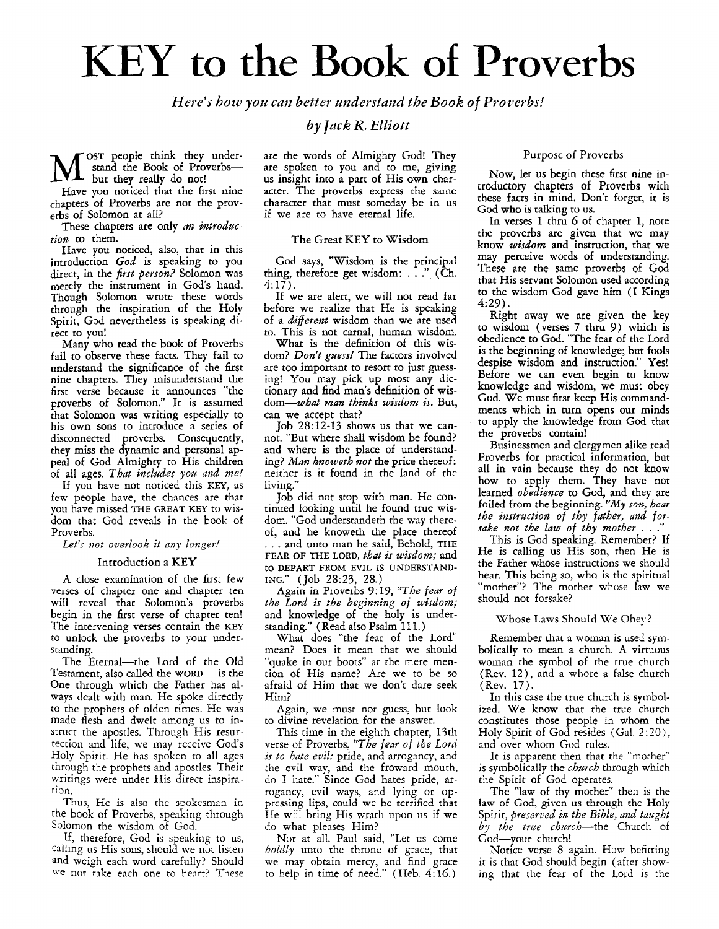## **KEY to the** Book **of Proverbs**

*Here's how you can better understand the Book of Proverbs!* 

*by Juck R. Elliott* 

**OST** people think they understand the Book of Proverbsbut they really do not!

Have you noticed that the first nine chapters of Proverbs are not the proverbs of Solomon at all?

These chapters are only *an introductjon* to them.

**Have** you noticed, also, that in this introduction God is speaking to you direct, in the *first person?* Solomon was merely the instrument in God's hand. Though Solomon wrote these words through the inspiration of the Holy Spirit, *God* nevertheless is speaking direct to YOU!

Many who read the book of Proverbs fail to observe these facts. They fail to understand the significance of the first nine chapters. They misunderstand the first verse because it announces "the proverbs of Solomon.'' It is assumed that Solomon was writing especially to his own sons to introduce a series of disconnected proverbs. Consequently, they miss the dynamic and personal appeal of God Almighty to His children of all ages. That includes *yoa and* me!

If you have not noticed this **KEY,** as few people have, the chances are that you have missed **THE** GREAT **KEY** to wisdom that God reveals in the book of<br>Proverbs.

Let's not overlook it any longer!

#### Introduction a KEY

**A** close examination of the first few verses of chapter one and chapter ten will reveal that Solomon's proverbs begin in the first verse of chapter ten! The intervening verses contain the **KEY**  to unlock the proverbs to your understanding.

The Eternal-the Lord of the Old Testament, also called the **WORD** is the One through which the Father has always dealt with man. He spoke directly to the prophets of olden times. He was made flesh and dwelt among us to instruct the apostles. Through His resurrection and life, we may receive God's Holy Spirit. He has spoken to all ages through the prophets and apostles. Their writings were under His direct inspiration.

Thus, He is also the spokcsman in the book of Proverbs, speaking through Solomon the wisdom of God.

If, therefore, God is speaking to us, calling us His sons, should me not listen and weigh each word carefully? Should we not take each one to heart? These

are the words of Almighty God! They are spoken to you and to me, giving us insight into a part of His own character. The proverbs express the same character that must someday be in us if we are to have eternal life.

#### The Great **KEY** to Wisdom

*God* says, "Wisdom is the principal thing, therefore get wisdom: . . **.I'** (Ch.  $4:17$ ).

**If** we are alert, we will not read far before we realize that He is speaking of a different wisdom than we are used *to.* **This is** not carnal, human wisdom.

What is the definition of this wisdom? *Don't guess!* The factors involved are too important to resort to just guessing! You may pick up most **any** dictionary and find man's definition of wisdom-what man thinks wisdom is. But, can we accept that?

Job 28:12-13 shows us that we cannot. "But where shall wisdom be found? and where is the place of understanding? *Man knoweth not* the price thereof: neither is it found in the land of the living."

Job did not stop with man. He continued looking until he found true wisdom. "God understandeth the way thereof, and he knoweth the place thereof . . . and unto man he said, Behold, **THE FEAR** OF **THE LORD,** that *is* wisdom; and **ING."** (Job 28~23, 28.) to **DEPART FROM** EVIL **IS UNDERSTAND-**

Again in Proverbs 9:19, "The fear of the Lord *is* the beginning of wisdom; and knowledge of the holy is understanding." (Read also Psalm 111.)

What does "the fear of the Lord" mean? Does it mean that we should "quake in our boots" at the mere mention of **His** name? Are we to be so afraid of Him that we don't dare seek Him?

Again, we must not guess, but look to divine revelation for the answer.

This time in the eighth chapter, 13th verse of Proverbs, "The fear of the Lord *is to hate evil:* pride, and arrogancy, and the evil way, and the froward mouth, do I hate." Since God hates pride, arrogancy, evil ways, and lying or oppressing lips, could we be terrified that He will bring His wrath upon us if we do what pleases Him?

Not at all. Paul said, "Let us come *boldly* unto the throne of grace, that we may obtain mercy, and find grace to help in time of need." (Heb. 4:16.)

#### Purpose of Proverbs

Now, let *us* begin these first nine introductory chapters of Proverbs with these facts in mind. Don't forget, it is God who **is** talking to **us.** 

In verses **1** thru *6* of chapter 1, note the proverbs are given that we may know wisdom and instruction, that we may perceive words of understanding. These are the same proverbs of *God*  that His servant Solomon **used** according to the wisdom God gave him (I Kings *4:29).* 

Right away we are given the key to wisdom (verses 7 thru 9) which is obedience to God. "The fear of the Lord is the beginning of knowledge; but fools despise wisdom and instruction." Yes! Before we can even begin to know knowledge and wisdom, we must obey God. We must first keep His commandments which in turn opens our minds to apply the knowledge from God that the proverbs contain!

Businessmen and clergymen alike read Proverbs for practical information, but all in vain because they do not know how to apply them. They have not learned *obedience* to God, and they are foiled from the beginning. *"My son,* hear the instruction *of* thy father, *and for*sake *not* the *law* of thy mother . . ."

This is God speaking. Remember? If He **is** calling us His son, then He is the Father whose instructions we should hear. This being so, who is the spiritual "mother"? The mother whose law we should not forsake?

#### Whose Laws Should We Obey?

Remember that a woman is used symbolically to mean a church. A virtuous woman the symbol of the true church (Rev. 12), and a whore a false church (Rev. 17).

In this case the true church is symbolized. We know that the true church constitutes those people in whom the Holy Spirit of God resides (Gal. 2:20), and over whom God rules.

It is apparent then that the "mother" is symbolically the *church* through which the Spirit of God operates.

The "law of thy mother" then is the law of God, **given** us through the Holy Spirit, preserved in the Bible, and taught by the true church-the Church of God-your church!

Notice verse 8 again. How befitting it is that God should begin (after showing that the fear of the Lord is the